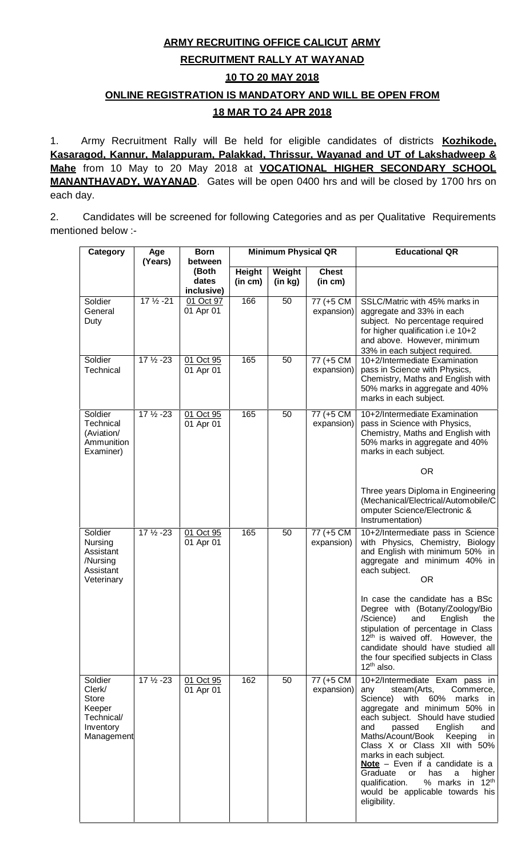# **ARMY RECRUITING OFFICE CALICUT ARMY**

## **RECRUITMENT RALLY AT WAYANAD**

## **10 TO 20 MAY 2018**

# **ONLINE REGISTRATION IS MANDATORY AND WILL BE OPEN FROM**

## **18 MAR TO 24 APR 2018**

1. Army Recruitment Rally will Be held for eligible candidates of districts **Kozhikode**, **Kasaragod, Kannur, Malappuram, Palakkad, Thrissur, Wayanad and UT of Lakshadweep & Mahe** from 10 May to 20 May 2018 at **VOCATIONAL HIGHER SECONDARY SCHOOL MANANTHAVADY, WAYANAD**. Gates will be open 0400 hrs and will be closed by 1700 hrs on each day.

2. Candidates will be screened for following Categories and as per Qualitative Requirements mentioned below :-

| Category |                                                                               | Age<br>(Years)       | <b>Born</b><br>between       | <b>Minimum Physical QR</b> |                   |                         | <b>Educational QR</b>                                                                                                                                                                                                                                                                                                                                                                                                                                                                           |  |
|----------|-------------------------------------------------------------------------------|----------------------|------------------------------|----------------------------|-------------------|-------------------------|-------------------------------------------------------------------------------------------------------------------------------------------------------------------------------------------------------------------------------------------------------------------------------------------------------------------------------------------------------------------------------------------------------------------------------------------------------------------------------------------------|--|
|          |                                                                               |                      | (Both<br>dates<br>inclusive) | <b>Height</b><br>(in cm)   | Weight<br>(in kg) | <b>Chest</b><br>(in cm) |                                                                                                                                                                                                                                                                                                                                                                                                                                                                                                 |  |
|          | Soldier<br>General<br>Duty                                                    | $17\frac{1}{2} - 21$ | 01 Oct 97<br>01 Apr 01       | 166                        | 50                | 77 (+5 CM<br>expansion) | SSLC/Matric with 45% marks in<br>aggregate and 33% in each<br>subject. No percentage required<br>for higher qualification i.e 10+2<br>and above. However, minimum<br>33% in each subject required.                                                                                                                                                                                                                                                                                              |  |
|          | Soldier<br>Technical                                                          | $17\frac{1}{2} - 23$ | 01 Oct 95<br>01 Apr 01       | 165                        | 50                | 77 (+5 CM<br>expansion) | 10+2/Intermediate Examination<br>pass in Science with Physics,<br>Chemistry, Maths and English with<br>50% marks in aggregate and 40%<br>marks in each subject.                                                                                                                                                                                                                                                                                                                                 |  |
|          | Soldier<br>Technical<br>(Aviation/<br>Ammunition<br>Examiner)                 | $17\frac{1}{2} - 23$ | 01 Oct 95<br>01 Apr 01       | 165                        | 50                | 77 (+5 CM<br>expansion) | 10+2/Intermediate Examination<br>pass in Science with Physics,<br>Chemistry, Maths and English with<br>50% marks in aggregate and 40%<br>marks in each subject.<br><b>OR</b>                                                                                                                                                                                                                                                                                                                    |  |
|          |                                                                               |                      |                              |                            |                   |                         | Three years Diploma in Engineering<br>(Mechanical/Electrical/Automobile/C<br>omputer Science/Electronic &<br>Instrumentation)                                                                                                                                                                                                                                                                                                                                                                   |  |
|          | Soldier<br>Nursing<br>Assistant<br>/Nursing<br>Assistant<br>Veterinary        | 17 1/2 - 23          | 01 Oct 95<br>01 Apr 01       | 165                        | 50                | 77 (+5 CM<br>expansion) | 10+2/Intermediate pass in Science<br>with Physics, Chemistry, Biology<br>and English with minimum 50% in<br>aggregate and minimum 40% in<br>each subject.<br><b>OR</b>                                                                                                                                                                                                                                                                                                                          |  |
|          |                                                                               |                      |                              |                            |                   |                         | In case the candidate has a BSc<br>Degree with (Botany/Zoology/Bio<br>/Science)<br>and<br>English<br>the<br>stipulation of percentage in Class<br>12 <sup>th</sup> is waived off. However, the<br>candidate should have studied all<br>the four specified subjects in Class<br>$12^{th}$ also.                                                                                                                                                                                                  |  |
|          | Soldier<br>Clerk/<br>Store<br>Keeper<br>Technical/<br>Inventory<br>Management | $17\frac{1}{2} - 23$ | 01 Oct 95<br>01 Apr 01       | 162                        | 50                | 77 (+5 CM<br>expansion) | 10+2/Intermediate Exam pass in<br>steam(Arts,<br>Commerce,<br>any<br>with 60% marks<br>Science)<br>in.<br>aggregate and minimum 50% in<br>each subject. Should have studied<br>passed<br>English<br>and<br>and<br>Maths/Acount/Book<br>Keeping<br>in.<br>Class X or Class XII with 50%<br>marks in each subject.<br>Note - Even if a candidate is a<br>Graduate<br>has<br>a<br>or<br>higher<br>% marks in 12 <sup>th</sup><br>qualification.<br>would be applicable towards his<br>eligibility. |  |
|          |                                                                               |                      |                              |                            |                   |                         |                                                                                                                                                                                                                                                                                                                                                                                                                                                                                                 |  |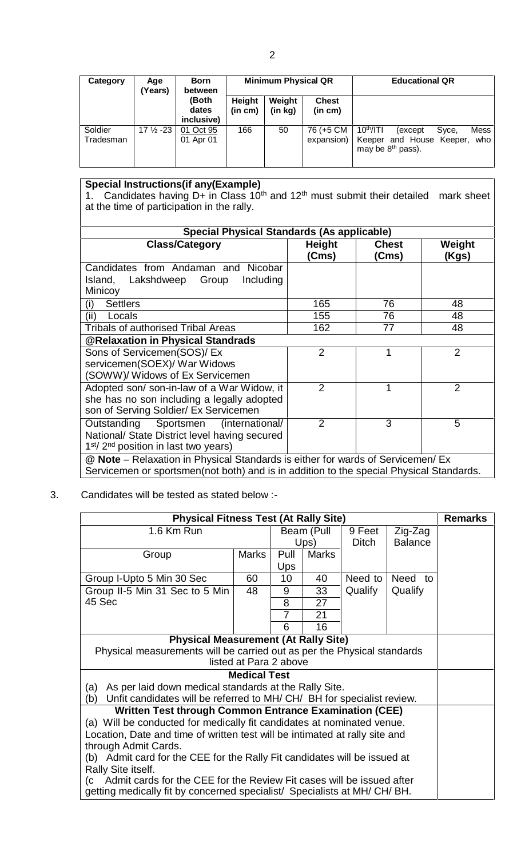| Category  | Age<br>(Years)      | <b>Born</b><br>between<br>(Both | <b>Minimum Physical QR</b> |         |              | <b>Educational QR</b>                             |  |  |
|-----------|---------------------|---------------------------------|----------------------------|---------|--------------|---------------------------------------------------|--|--|
|           |                     |                                 | Height                     | Weight  | <b>Chest</b> |                                                   |  |  |
|           |                     | dates                           | (in cm)                    | (in kg) | (in cm)      |                                                   |  |  |
|           |                     | inclusive)                      |                            |         |              |                                                   |  |  |
| Soldier   | $17\frac{1}{2}$ -23 | 01 Oct 95                       | 166                        | 50      | 76 (+5 CM    | 10 <sup>th</sup> / T <br>Mess<br>Syce,<br>(except |  |  |
| Tradesman |                     | 01 Apr 01                       |                            |         | expansion)   | Keeper and House Keeper,<br>who                   |  |  |
|           |                     |                                 |                            |         |              | may be $8th$ pass).                               |  |  |
|           |                     |                                 |                            |         |              |                                                   |  |  |

## **Special Instructions(if any(Example)**

1. Candidates having D+ in Class  $10<sup>th</sup>$  and  $12<sup>th</sup>$  must submit their detailed mark sheet | at the time of participation in the rally.

| <b>Special Physical Standards (As applicable)</b>                                                                                                                          |                        |                       |                 |
|----------------------------------------------------------------------------------------------------------------------------------------------------------------------------|------------------------|-----------------------|-----------------|
| <b>Class/Category</b>                                                                                                                                                      | <b>Height</b><br>(Cms) | <b>Chest</b><br>(Cms) | Weight<br>(Kgs) |
| Candidates from Andaman and Nicobar<br>Island, Lakshdweep Group<br>Including<br>Minicoy                                                                                    |                        |                       |                 |
| <b>Settlers</b><br>(i)                                                                                                                                                     | 165                    | 76                    | 48              |
| (ii)<br>Locals                                                                                                                                                             | 155                    | 76                    | 48              |
| Tribals of authorised Tribal Areas                                                                                                                                         | 162                    | 77                    | 48              |
| <b>@Relaxation in Physical Standrads</b>                                                                                                                                   |                        |                       |                 |
| Sons of Servicemen(SOS)/ Ex<br>servicemen(SOEX)/ War Widows<br>(SOWW)/ Widows of Ex Servicemen                                                                             | $\overline{2}$         |                       | $\overline{2}$  |
| Adopted son/son-in-law of a War Widow, it<br>she has no son including a legally adopted<br>son of Serving Soldier/ Ex Servicemen                                           | $\overline{2}$         |                       | $\overline{2}$  |
| Outstanding Sportsmen (international/<br>National/ State District level having secured<br>1 <sup>st</sup> /2 <sup>nd</sup> position in last two years)                     | $\overline{2}$         | 3                     | 5               |
| @ Note – Relaxation in Physical Standards is either for wards of Servicemen/ Ex<br>Servicemen or sportsmen(not both) and is in addition to the special Physical Standards. |                        |                       |                 |

3. Candidates will be tested as stated below :-

| 1.6 Km Run<br>Beam (Pull<br>Zig-Zag<br>9 Feet<br>Ups)<br><b>Balance</b><br>Ditch<br>Pull<br><b>Marks</b><br>Marks<br>Group<br><b>Ups</b><br>Need to<br>Group I-Upto 5 Min 30 Sec<br>10 <sup>°</sup><br>Need to<br>60<br>40 |  |  |  |  |  |  |
|----------------------------------------------------------------------------------------------------------------------------------------------------------------------------------------------------------------------------|--|--|--|--|--|--|
|                                                                                                                                                                                                                            |  |  |  |  |  |  |
|                                                                                                                                                                                                                            |  |  |  |  |  |  |
|                                                                                                                                                                                                                            |  |  |  |  |  |  |
|                                                                                                                                                                                                                            |  |  |  |  |  |  |
|                                                                                                                                                                                                                            |  |  |  |  |  |  |
| Qualify<br>Qualify<br>Group II-5 Min 31 Sec to 5 Min<br>48<br>9<br>33                                                                                                                                                      |  |  |  |  |  |  |
| 45 Sec<br>8<br>27                                                                                                                                                                                                          |  |  |  |  |  |  |
| 7<br>21                                                                                                                                                                                                                    |  |  |  |  |  |  |
| 6<br>16                                                                                                                                                                                                                    |  |  |  |  |  |  |
| <b>Physical Measurement (At Rally Site)</b>                                                                                                                                                                                |  |  |  |  |  |  |
| Physical measurements will be carried out as per the Physical standards                                                                                                                                                    |  |  |  |  |  |  |
| listed at Para 2 above                                                                                                                                                                                                     |  |  |  |  |  |  |
| <b>Medical Test</b>                                                                                                                                                                                                        |  |  |  |  |  |  |
| As per laid down medical standards at the Rally Site.<br>(a)                                                                                                                                                               |  |  |  |  |  |  |
| Unfit candidates will be referred to MH/CH/BH for specialist review.<br>(b)                                                                                                                                                |  |  |  |  |  |  |
| <b>Written Test through Common Entrance Examination (CEE)</b>                                                                                                                                                              |  |  |  |  |  |  |
| (a) Will be conducted for medically fit candidates at nominated venue.                                                                                                                                                     |  |  |  |  |  |  |
| Location, Date and time of written test will be intimated at rally site and                                                                                                                                                |  |  |  |  |  |  |
| through Admit Cards.                                                                                                                                                                                                       |  |  |  |  |  |  |
| (b) Admit card for the CEE for the Rally Fit candidates will be issued at                                                                                                                                                  |  |  |  |  |  |  |
| Rally Site itself.<br>Admit cards for the CEE for the Review Fit cases will be issued after                                                                                                                                |  |  |  |  |  |  |
| (C<br>getting medically fit by concerned specialist/ Specialists at MH/CH/BH.                                                                                                                                              |  |  |  |  |  |  |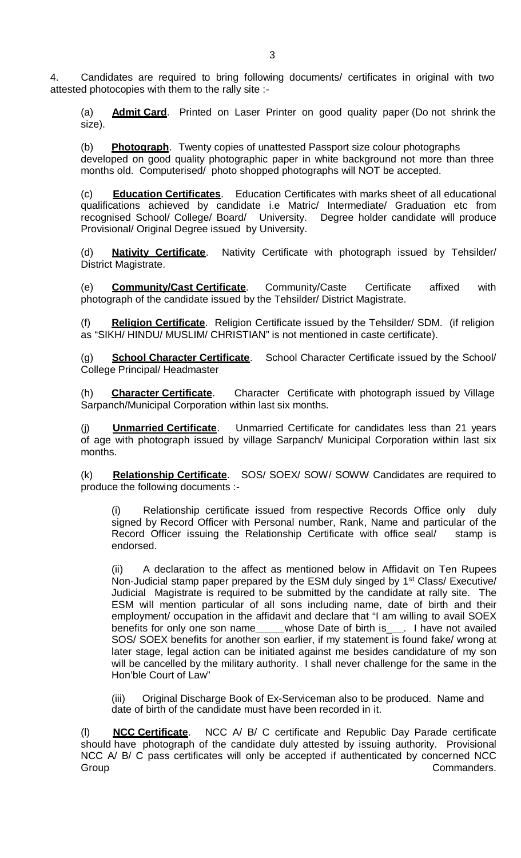4. Candidates are required to bring following documents/ certificates in original with two attested photocopies with them to the rally site :-

(a) **Admit Card**. Printed on Laser Printer on good quality paper (Do not shrink the size).

(b) **Photograph**. Twenty copies of unattested Passport size colour photographs developed on good quality photographic paper in white background not more than three months old. Computerised/ photo shopped photographs will NOT be accepted.

(c) **Education Certificates**. Education Certificates with marks sheet of all educational qualifications achieved by candidate i.e Matric/ Intermediate/ Graduation etc from recognised School/ College/ Board/ University. Degree holder candidate will produce Provisional/ Original Degree issued by University.

(d) **Nativity Certificate**. Nativity Certificate with photograph issued by Tehsilder/ District Magistrate.

(e) **Community/Cast Certificate**. Community/Caste Certificate affixed with photograph of the candidate issued by the Tehsilder/ District Magistrate.

(f) **Religion Certificate**. Religion Certificate issued by the Tehsilder/ SDM. (if religion as "SIKH/ HINDU/ MUSLIM/ CHRISTIAN" is not mentioned in caste certificate).

(g) **School Character Certificate**. School Character Certificate issued by the School/ College Principal/ Headmaster

(h) **Character Certificate**. Character Certificate with photograph issued by Village Sarpanch/Municipal Corporation within last six months.

**Unmarried Certificate**. Unmarried Certificate for candidates less than 21 years of age with photograph issued by village Sarpanch/ Municipal Corporation within last six months.

(k) **Relationship Certificate**. SOS/ SOEX/ SOW/ SOWW Candidates are required to produce the following documents :-

(i) Relationship certificate issued from respective Records Office only duly signed by Record Officer with Personal number, Rank, Name and particular of the Record Officer issuing the Relationship Certificate with office seal/ stamp is endorsed.

(ii) A declaration to the affect as mentioned below inAffidavit on Ten Rupees Non-Judicial stamp paper prepared by the ESM duly singed by 1<sup>st</sup> Class/ Executive/ Judicial Magistrate is required to be submitted by the candidate at rally site. The ESM will mention particular of all sons including name, date of birth and their employment/ occupation in the affidavit and declare that "I am willing to avail SOEX benefits for only one son name whose Date of birth is \_\_\_. I have not availed SOS/ SOEX benefits for another son earlier, if my statement is found fake/ wrong at later stage, legal action can be initiated against me besides candidature of my son will be cancelled by the military authority. I shall never challenge for the same in the Hon'ble Court of Law"

(iii) Original Discharge Book of Ex-Serviceman also to be produced. Name and date of birth of the candidate must have been recorded in it.

**NCC Certificate**. NCC A/ B/ C certificate and Republic Day Parade certificate should have photograph of the candidate duly attested by issuing authority. Provisional NCC A/ B/ C pass certificates will only be accepted if authenticated by concerned NCC Group Commanders.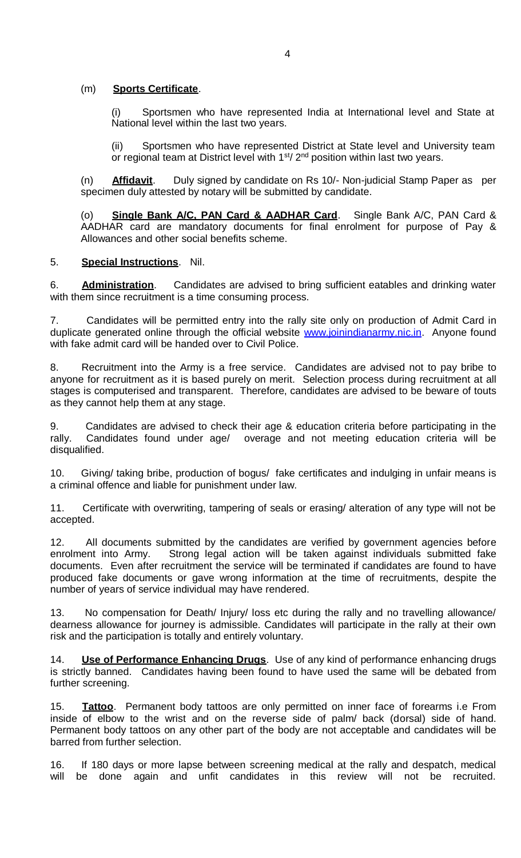#### (m) **Sports Certificate**.

(i) Sportsmen who have represented India at International level and State at National level within the last two years.

(ii) Sportsmen who have represented District at State leveland University team or regional team at District level with 1<sup>st</sup>/ 2<sup>nd</sup> position within last two years.

(n) **Affidavit**. Duly signed by candidate on Rs 10/- Non-judicial Stamp Paper as per specimen duly attested by notary will be submitted by candidate.

(o) **Single Bank A/C, PAN Card & AADHAR Card**. Single Bank A/C, PAN Card & AADHAR card are mandatory documents for final enrolment for purpose of Pay & Allowances and other social benefits scheme.

#### 5. **Special Instructions**. Nil.

6. **Administration**. Candidates are advised to bring sufficient eatables and drinking water with them since recruitment is a time consuming process.

7. Candidates will be permitted entry into the rally site only on production of Admit Card in duplicate generated online through the official website www.joinindianarmy.nic.in. Anyone found with fake admit card will be handed over to Civil Police.

8. Recruitment into the Army is a free service. Candidates are advised not to pay bribe to anyone for recruitment as it is based purely on merit. Selection process during recruitment at all stages is computerised and transparent. Therefore, candidates are advised to be beware of touts as they cannot help them at any stage.

9. Candidates are advised to check their age & education criteria before participating in the rally. Candidates found under age/ overage and not meeting education criteria will be disqualified.

10. Giving/ taking bribe, production of bogus/ fake certificates and indulging in unfair means is a criminal offence and liable for punishment under law.

11. Certificate with overwriting, tampering of seals or erasing/ alteration of any type will not be accepted.

12. All documents submitted by the candidates are verified by government agencies before enrolment into Army. Strong legal action will be taken against individuals submitted fake documents. Even after recruitment the service will be terminated if candidates are found to have produced fake documents or gave wrong information at the time of recruitments, despite the number of years of service individual may have rendered.

13. No compensation for Death/ Injury/ loss etc during the rally and no travelling allowance/ dearness allowance for journey is admissible. Candidates will participate in the rally at their own risk and the participation is totally and entirely voluntary.

14. **Use of Performance Enhancing Drugs**. Use of any kind of performance enhancing drugs is strictly banned. Candidates having been found to have used the same will be debated from further screening.

15. **Tattoo**. Permanent body tattoos are only permitted on inner face of forearms i.e From inside of elbow to the wrist and on the reverse side of palm/ back (dorsal) side of hand. Permanent body tattoos on any other part of the body are not acceptable and candidates will be barred from further selection.

16. If 180 days or more lapse between screening medical at the rally and despatch, medical to it is a the recruited. be done again and unfit candidates in this review will not be recruited.